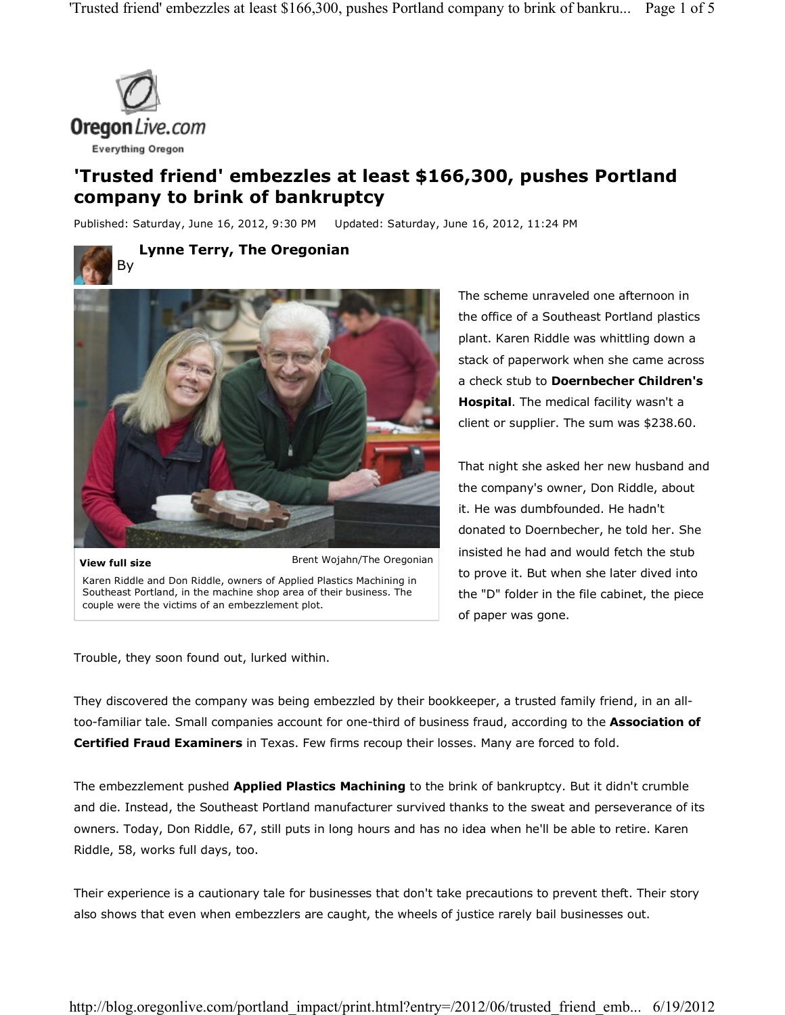

# **'Trusted friend' embezzles at least \$166,300, pushes Portland company to brink of bankruptcy**

Published: Saturday, June 16, 2012, 9:30 PM Updated: Saturday, June 16, 2012, 11:24 PM

**Lynne Terry, The Oregonian**



Brent Wojahn/The Oregonian **View full size** Karen Riddle and Don Riddle, owners of Applied Plastics Machining in Southeast Portland, in the machine shop area of their business. The couple were the victims of an embezzlement plot.

The scheme unraveled one afternoon in the office of a Southeast Portland plastics plant. Karen Riddle was whittling down a stack of paperwork when she came across a check stub to **Doernbecher Children's Hospital**. The medical facility wasn't a client or supplier. The sum was \$238.60.

That night she asked her new husband and the company's owner, Don Riddle, about it. He was dumbfounded. He hadn't donated to Doernbecher, he told her. She insisted he had and would fetch the stub to prove it. But when she later dived into the "D" folder in the file cabinet, the piece of paper was gone.

Trouble, they soon found out, lurked within.

They discovered the company was being embezzled by their bookkeeper, a trusted family friend, in an alltoo-familiar tale. Small companies account for one-third of business fraud, according to the **Association of Certified Fraud Examiners** in Texas. Few firms recoup their losses. Many are forced to fold.

The embezzlement pushed **Applied Plastics Machining** to the brink of bankruptcy. But it didn't crumble and die. Instead, the Southeast Portland manufacturer survived thanks to the sweat and perseverance of its owners. Today, Don Riddle, 67, still puts in long hours and has no idea when he'll be able to retire. Karen Riddle, 58, works full days, too.

Their experience is a cautionary tale for businesses that don't take precautions to prevent theft. Their story also shows that even when embezzlers are caught, the wheels of justice rarely bail businesses out.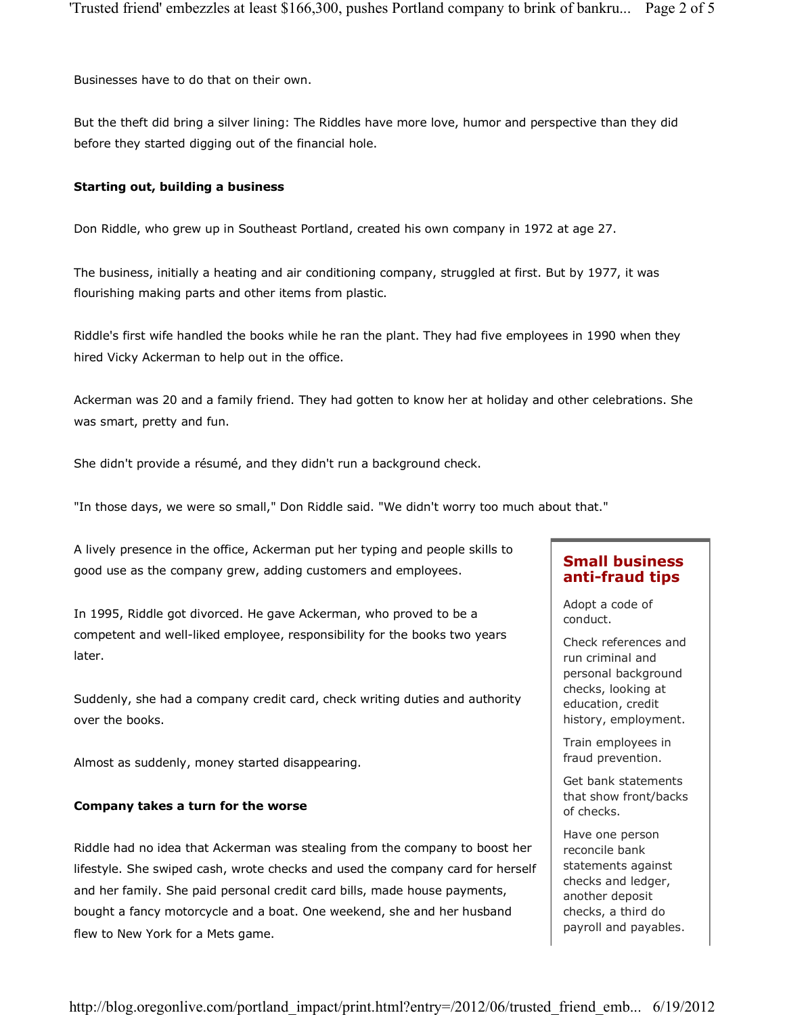Businesses have to do that on their own.

But the theft did bring a silver lining: The Riddles have more love, humor and perspective than they did before they started digging out of the financial hole.

#### **Starting out, building a business**

Don Riddle, who grew up in Southeast Portland, created his own company in 1972 at age 27.

The business, initially a heating and air conditioning company, struggled at first. But by 1977, it was flourishing making parts and other items from plastic.

Riddle's first wife handled the books while he ran the plant. They had five employees in 1990 when they hired Vicky Ackerman to help out in the office.

Ackerman was 20 and a family friend. They had gotten to know her at holiday and other celebrations. She was smart, pretty and fun.

She didn't provide a résumé, and they didn't run a background check.

"In those days, we were so small," Don Riddle said. "We didn't worry too much about that."

A lively presence in the office, Ackerman put her typing and people skills to good use as the company grew, adding customers and employees.

In 1995, Riddle got divorced. He gave Ackerman, who proved to be a competent and well-liked employee, responsibility for the books two years later.

Suddenly, she had a company credit card, check writing duties and authority over the books.

Almost as suddenly, money started disappearing.

#### **Company takes a turn for the worse**

Riddle had no idea that Ackerman was stealing from the company to boost her lifestyle. She swiped cash, wrote checks and used the company card for herself and her family. She paid personal credit card bills, made house payments, bought a fancy motorcycle and a boat. One weekend, she and her husband flew to New York for a Mets game.

## **Small business anti-fraud tips**

Adopt a code of conduct.

Check references and run criminal and personal background checks, looking at education, credit history, employment.

Train employees in fraud prevention.

Get bank statements that show front/backs of checks.

Have one person reconcile bank statements against checks and ledger, another deposit checks, a third do payroll and payables.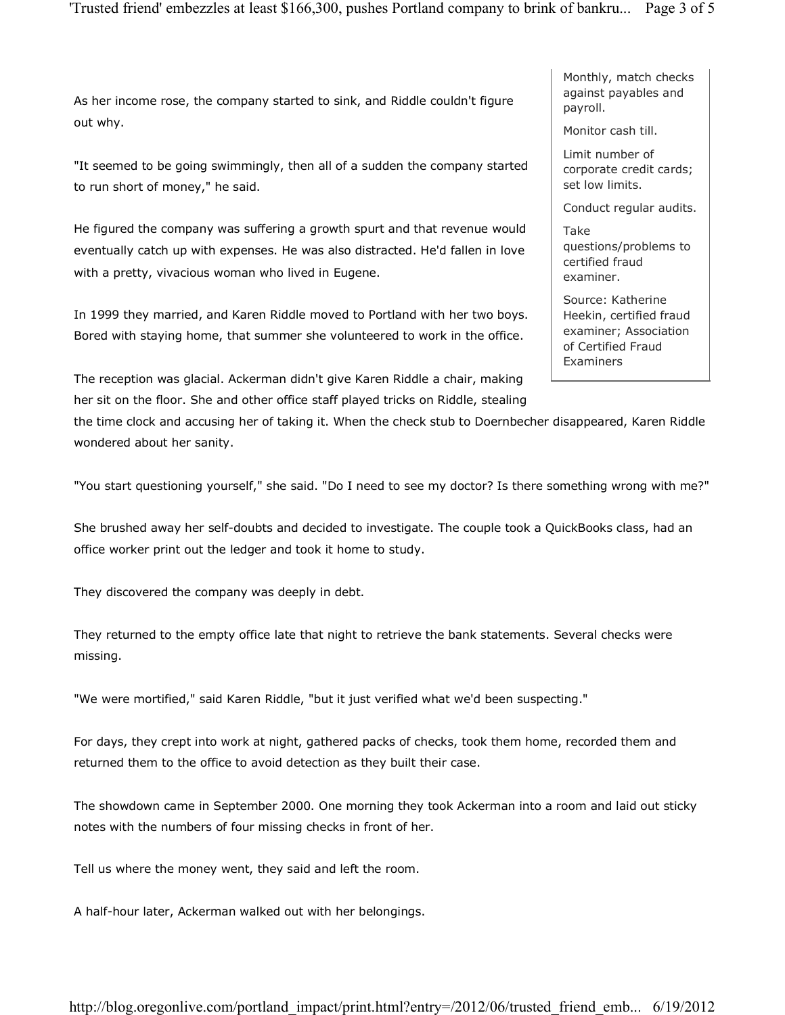As her income rose, the company started to sink, and Riddle couldn't figure out why.

"It seemed to be going swimmingly, then all of a sudden the company started to run short of money," he said.

He figured the company was suffering a growth spurt and that revenue would eventually catch up with expenses. He was also distracted. He'd fallen in love with a pretty, vivacious woman who lived in Eugene.

In 1999 they married, and Karen Riddle moved to Portland with her two boys. Bored with staying home, that summer she volunteered to work in the office.

The reception was glacial. Ackerman didn't give Karen Riddle a chair, making her sit on the floor. She and other office staff played tricks on Riddle, stealing

the time clock and accusing her of taking it. When the check stub to Doernbecher disappeared, Karen Riddle wondered about her sanity.

"You start questioning yourself," she said. "Do I need to see my doctor? Is there something wrong with me?"

She brushed away her self-doubts and decided to investigate. The couple took a QuickBooks class, had an office worker print out the ledger and took it home to study.

They discovered the company was deeply in debt.

They returned to the empty office late that night to retrieve the bank statements. Several checks were missing.

"We were mortified," said Karen Riddle, "but it just verified what we'd been suspecting."

For days, they crept into work at night, gathered packs of checks, took them home, recorded them and returned them to the office to avoid detection as they built their case.

The showdown came in September 2000. One morning they took Ackerman into a room and laid out sticky notes with the numbers of four missing checks in front of her.

Tell us where the money went, they said and left the room.

A half-hour later, Ackerman walked out with her belongings.

Monthly, match checks against payables and payroll.

Monitor cash till.

Limit number of corporate credit cards; set low limits.

Conduct regular audits.

Take questions/problems to certified fraud examiner.

Source: Katherine Heekin, certified fraud examiner; Association of Certified Fraud Examiners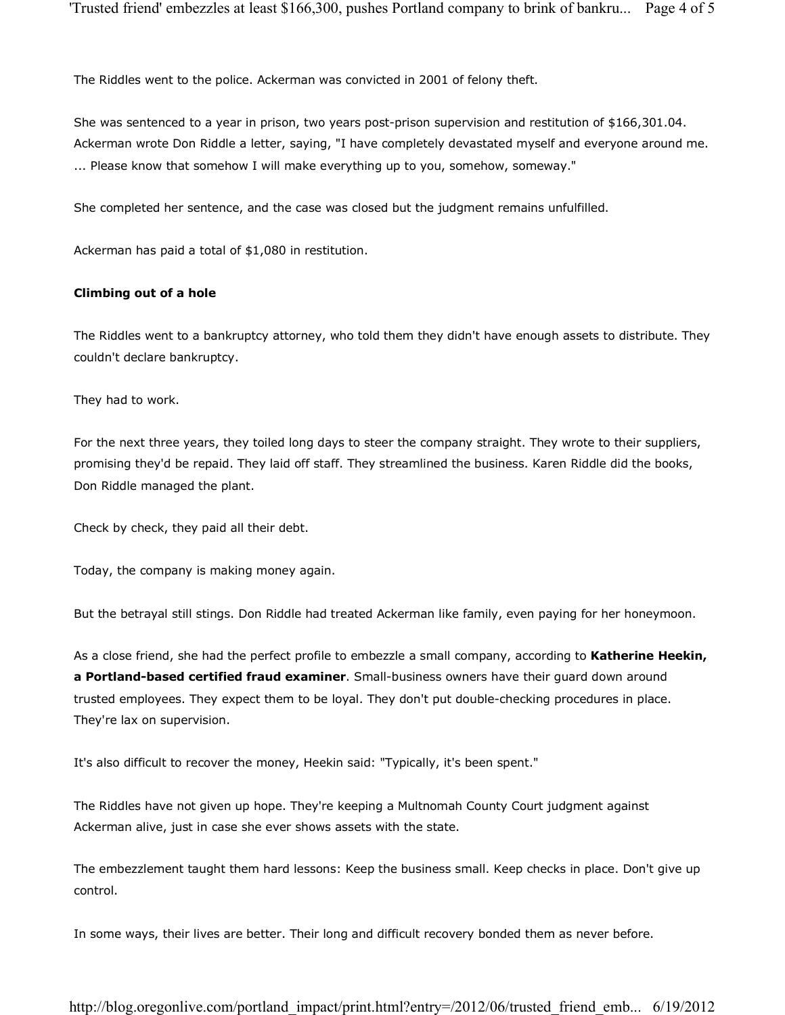The Riddles went to the police. Ackerman was convicted in 2001 of felony theft.

She was sentenced to a year in prison, two years post-prison supervision and restitution of \$166,301.04. Ackerman wrote Don Riddle a letter, saying, "I have completely devastated myself and everyone around me. ... Please know that somehow I will make everything up to you, somehow, someway."

She completed her sentence, and the case was closed but the judgment remains unfulfilled.

Ackerman has paid a total of \$1,080 in restitution.

#### **Climbing out of a hole**

The Riddles went to a bankruptcy attorney, who told them they didn't have enough assets to distribute. They couldn't declare bankruptcy.

They had to work.

For the next three years, they toiled long days to steer the company straight. They wrote to their suppliers, promising they'd be repaid. They laid off staff. They streamlined the business. Karen Riddle did the books, Don Riddle managed the plant.

Check by check, they paid all their debt.

Today, the company is making money again.

But the betrayal still stings. Don Riddle had treated Ackerman like family, even paying for her honeymoon.

As a close friend, she had the perfect profile to embezzle a small company, according to **Katherine Heekin, a Portland-based certified fraud examiner**. Small-business owners have their guard down around trusted employees. They expect them to be loyal. They don't put double-checking procedures in place. They're lax on supervision.

It's also difficult to recover the money, Heekin said: "Typically, it's been spent."

The Riddles have not given up hope. They're keeping a Multnomah County Court judgment against Ackerman alive, just in case she ever shows assets with the state.

The embezzlement taught them hard lessons: Keep the business small. Keep checks in place. Don't give up control.

In some ways, their lives are better. Their long and difficult recovery bonded them as never before.

http://blog.oregonlive.com/portland\_impact/print.html?entry=/2012/06/trusted\_friend\_emb... 6/19/2012